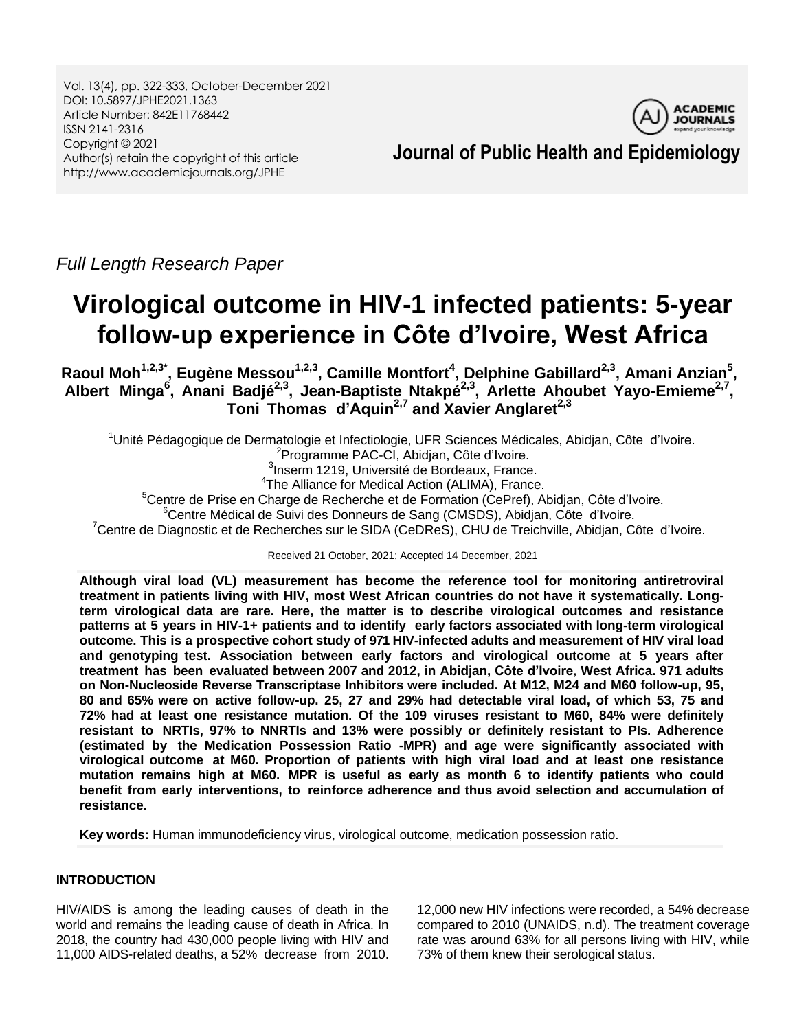Vol. 13(4), pp. 322-333, October-December 2021 DOI: 10.5897/JPHE2021.1363 Article Number: 842E11768442 ISSN 2141-2316 Copyright © 2021 Author(s) retain the copyright of this article http://www.academicjournals.org/JPHE

**ACADEMIC JOURNALS** 

**Journal of Public Health and Epidemiology**

*Full Length Research Paper*

# **Virological outcome in HIV-1 infected patients: 5-year follow-up experience in Côte d'Ivoire, West Africa**

Raoul Moh<sup>1,2,3\*</sup>, Eugène Messou<sup>1,2,3</sup>, Camille Montfort<sup>4</sup>, Delphine Gabillard<sup>2,3</sup>, Amani Anzian<sup>5</sup>, **Albert Minga<sup>6</sup> , Anani Badjé2,3 , Jean-Baptiste Ntakpé2,3 , Arlette Ahoubet Yayo-Emieme2,7 , Toni Thomas d'Aquin2,7 and Xavier Anglaret2,3**

<sup>1</sup>Unité Pédagogique de Dermatologie et Infectiologie, UFR Sciences Médicales, Abidjan, Côte d"Ivoire. <sup>2</sup>Programme PAC-CI, Abidjan, Côte d'Ivoire. <sup>3</sup>Inserm 1219, Université de Bordeaux, France. <sup>4</sup>The Alliance for Medical Action (ALIMA), France. <sup>5</sup>Centre de Prise en Charge de Recherche et de Formation (CePref), Abidjan, Côte d'Ivoire. <sup>6</sup>Centre Médical de Suivi des Donneurs de Sang (CMSDS), Abidjan, Côte d'Ivoire.  $7$ Centre de Diagnostic et de Recherches sur le SIDA (CeDReS), CHU de Treichville, Abidjan, Côte d'Ivoire.

Received 21 October, 2021; Accepted 14 December, 2021

**Although viral load (VL) measurement has become the reference tool for monitoring antiretroviral treatment in patients living with HIV, most West African countries do not have it systematically. Longterm virological data are rare. Here, the matter is to describe virological outcomes and resistance patterns at 5 years in HIV-1+ patients and to identify early factors associated with long-term virological outcome. This is a prospective cohort study of 971 HIV-infected adults and measurement of HIV viral load and genotyping test. Association between early factors and virological outcome at 5 years after treatment has been evaluated between 2007 and 2012, in Abidjan, Côte d'Ivoire, West Africa. 971 adults on Non-Nucleoside Reverse Transcriptase Inhibitors were included. At M12, M24 and M60 follow-up, 95,** 80 and 65% were on active follow-up. 25, 27 and 29% had detectable viral load, of which 53, 75 and **72% had at least one resistance mutation. Of the 109 viruses resistant to M60, 84% were definitely resistant to NRTIs, 97% to NNRTIs and 13% were possibly or definitely resistant to PIs. Adherence (estimated by the Medication Possession Ratio -MPR) and age were significantly associated with virological outcome at M60. Proportion of patients with high viral load and at least one resistance mutation remains high at M60. MPR is useful as early as month 6 to identify patients who could benefit from early interventions, to reinforce adherence and thus avoid selection and accumulation of resistance.**

**Key words:** Human immunodeficiency virus, virological outcome, medication possession ratio.

# **INTRODUCTION**

HIV/AIDS is among the leading causes of death in the world and remains the leading cause of death in Africa. In 2018, the country had 430,000 people living with HIV and 11,000 AIDS-related deaths, a 52% decrease from 2010.

12,000 new HIV infections were recorded, a 54% decrease compared to 2010 (UNAIDS, n.d). The treatment coverage rate was around 63% for all persons living with HIV, while 73% of them knew their serological status.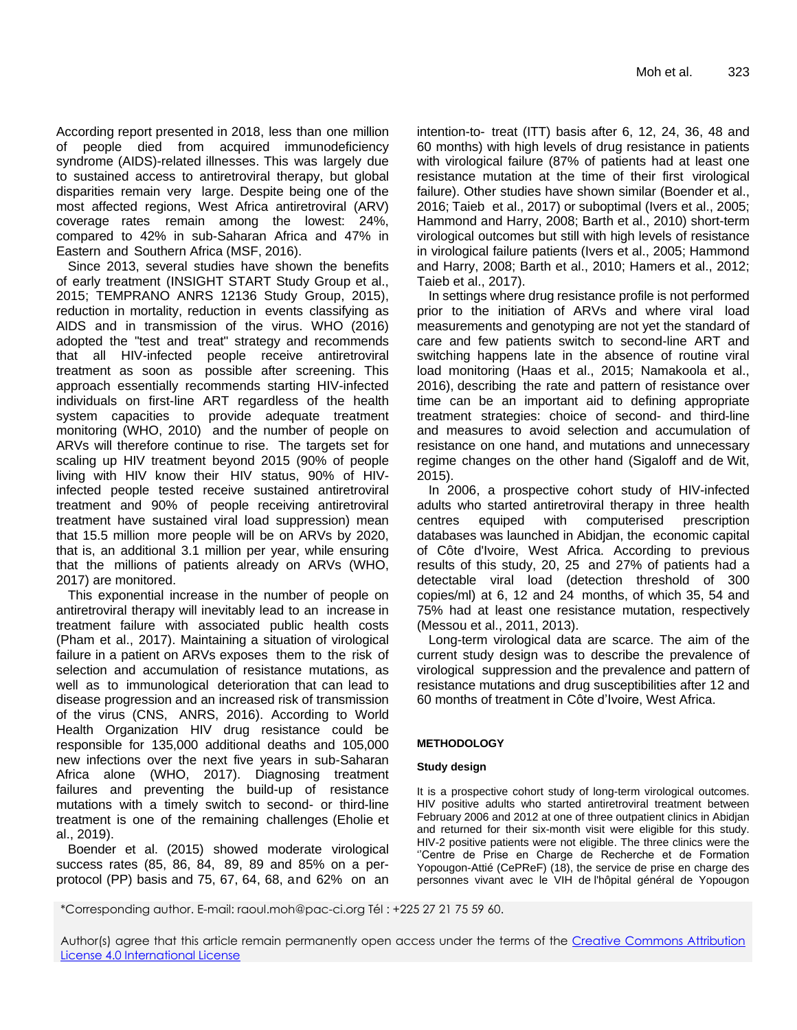According report presented in 2018, less than one million of people died from acquired immunodeficiency syndrome (AIDS)-related illnesses. This was largely due to sustained access to antiretroviral therapy, but global disparities remain very large. Despite being one of the most affected regions, West Africa antiretroviral (ARV) coverage rates remain among the lowest: 24%, compared to 42% in sub-Saharan Africa and 47% in Eastern and Southern Africa (MSF, 2016).

Since 2013, several studies have shown the benefits of early treatment (INSIGHT START Study Group et al., 2015; TEMPRANO ANRS 12136 Study Group, 2015), reduction in mortality, reduction in events classifying as AIDS and in transmission of the virus. WHO (2016) adopted the "test and treat" strategy and recommends that all HIV-infected people receive antiretroviral treatment as soon as possible after screening. This approach essentially recommends starting HIV-infected individuals on first-line ART regardless of the health system capacities to provide adequate treatment monitoring (WHO, 2010) and the number of people on ARVs will therefore continue to rise. The targets set for scaling up HIV treatment beyond 2015 (90% of people living with HIV know their HIV status, 90% of HIVinfected people tested receive sustained antiretroviral treatment and 90% of people receiving antiretroviral treatment have sustained viral load suppression) mean that 15.5 million more people will be on ARVs by 2020, that is, an additional 3.1 million per year, while ensuring that the millions of patients already on ARVs (WHO, 2017) are monitored.

This exponential increase in the number of people on antiretroviral therapy will inevitably lead to an increase in treatment failure with associated public health costs (Pham et al., 2017). Maintaining a situation of virological failure in a patient on ARVs exposes them to the risk of selection and accumulation of resistance mutations, as well as to immunological deterioration that can lead to disease progression and an increased risk of transmission of the virus (CNS, ANRS, 2016). According to World Health Organization HIV drug resistance could be responsible for 135,000 additional deaths and 105,000 new infections over the next five years in sub-Saharan Africa alone (WHO, 2017). Diagnosing treatment failures and preventing the build-up of resistance mutations with a timely switch to second- or third-line treatment is one of the remaining challenges (Eholie et al., 2019).

Boender et al. (2015) showed moderate virological success rates (85, 86, 84, 89, 89 and 85% on a perprotocol (PP) basis and 75, 67, 64, 68, and 62% on an intention-to- treat (ITT) basis after 6, 12, 24, 36, 48 and 60 months) with high levels of drug resistance in patients with virological failure (87% of patients had at least one resistance mutation at the time of their first virological failure). Other studies have shown similar (Boender et al., 2016; Taieb et al., 2017) or suboptimal (Ivers et al., 2005; Hammond and Harry, 2008; Barth et al., 2010) short-term virological outcomes but still with high levels of resistance in virological failure patients (Ivers et al., 2005; Hammond and Harry, 2008; Barth et al., 2010; Hamers et al., 2012; Taieb et al., 2017).

In settings where drug resistance profile is not performed prior to the initiation of ARVs and where viral load measurements and genotyping are not yet the standard of care and few patients switch to second-line ART and switching happens late in the absence of routine viral load monitoring (Haas et al., 2015; Namakoola et al., 2016), describing the rate and pattern of resistance over time can be an important aid to defining appropriate treatment strategies: choice of second- and third-line and measures to avoid selection and accumulation of resistance on one hand, and mutations and unnecessary regime changes on the other hand (Sigaloff and de Wit, 2015).

In 2006, a prospective cohort study of HIV-infected adults who started antiretroviral therapy in three health centres equiped with computerised prescription databases was launched in Abidjan, the economic capital of Côte d'Ivoire, West Africa. According to previous results of this study, 20, 25 and 27% of patients had a detectable viral load (detection threshold of 300 copies/ml) at 6, 12 and 24 months, of which 35, 54 and 75% had at least one resistance mutation, respectively (Messou et al., 2011, 2013).

Long-term virological data are scarce. The aim of the current study design was to describe the prevalence of virological suppression and the prevalence and pattern of resistance mutations and drug susceptibilities after 12 and 60 months of treatment in Côte d"Ivoire, West Africa.

## **METHODOLOGY**

## **Study design**

It is a prospective cohort study of long-term virological outcomes. HIV positive adults who started antiretroviral treatment between February 2006 and 2012 at one of three outpatient clinics in Abidjan and returned for their six-month visit were eligible for this study. HIV-2 positive patients were not eligible. The three clinics were the "Centre de Prise en Charge de Recherche et de Formation Yopougon-Attié (CePReF) (18), the service de prise en charge des personnes vivant avec le VIH de l'hôpital général de Yopougon

\*Corresponding author. E-mail: raoul.moh@pac-ci.org Tél : +225 27 21 75 59 60.

Author(s) agree that this article remain permanently open access under the terms of the [Creative Commons Attribution](http://creativecommons.org/licenses/by/4.0/deed.en_US)  [License 4.0 International License](http://creativecommons.org/licenses/by/4.0/deed.en_US)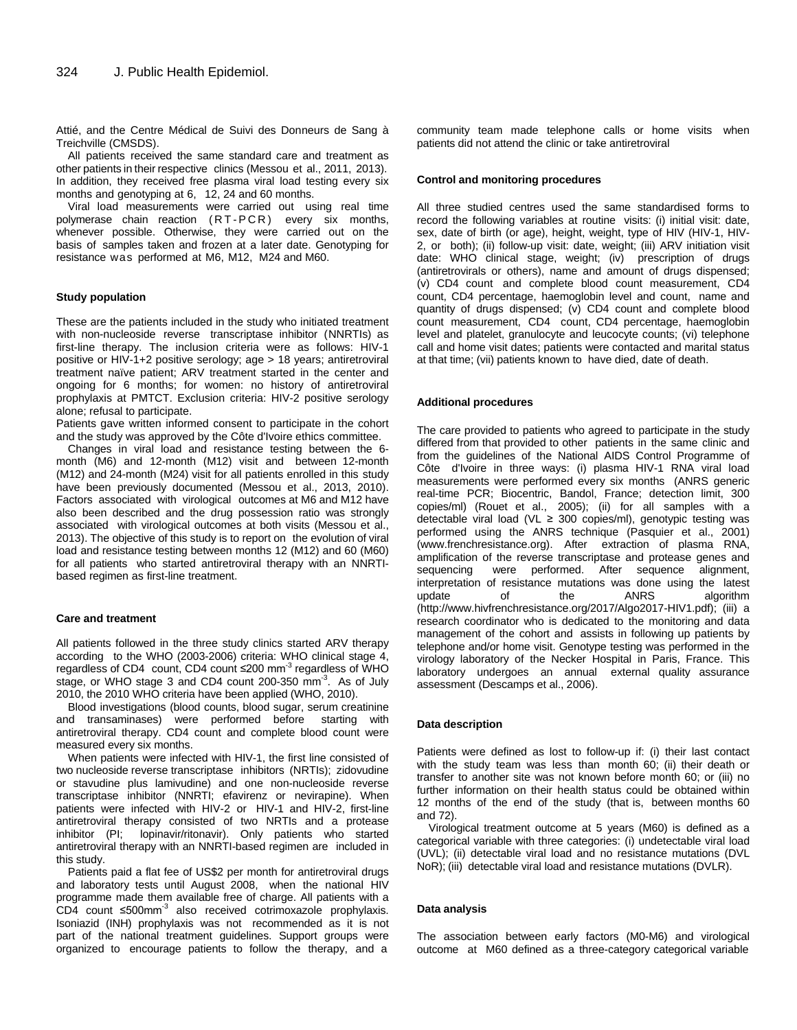Attié, and the Centre Médical de Suivi des Donneurs de Sang à Treichville (CMSDS).

All patients received the same standard care and treatment as other patients in their respective clinics (Messou et al., 2011, 2013). In addition, they received free plasma viral load testing every six months and genotyping at 6, 12, 24 and 60 months.

Viral load measurements were carried out using real time polymerase chain reaction (RT-PCR) every six months, whenever possible. Otherwise, they were carried out on the basis of samples taken and frozen at a later date. Genotyping for resistance was performed at M6, M12, M24 and M60.

#### **Study population**

These are the patients included in the study who initiated treatment with non-nucleoside reverse transcriptase inhibitor (NNRTIs) as first-line therapy. The inclusion criteria were as follows: HIV-1 positive or HIV-1+2 positive serology; age > 18 years; antiretroviral treatment naïve patient; ARV treatment started in the center and ongoing for 6 months; for women: no history of antiretroviral prophylaxis at PMTCT. Exclusion criteria: HIV-2 positive serology alone; refusal to participate.

Patients gave written informed consent to participate in the cohort and the study was approved by the Côte d'Ivoire ethics committee.

Changes in viral load and resistance testing between the 6 month (M6) and 12-month (M12) visit and between 12-month (M12) and 24-month (M24) visit for all patients enrolled in this study have been previously documented (Messou et al., 2013, 2010). Factors associated with virological outcomes at M6 and M12 have also been described and the drug possession ratio was strongly associated with virological outcomes at both visits (Messou et al., 2013). The objective of this study is to report on the evolution of viral load and resistance testing between months 12 (M12) and 60 (M60) for all patients who started antiretroviral therapy with an NNRTIbased regimen as first-line treatment.

#### **Care and treatment**

All patients followed in the three study clinics started ARV therapy according to the WHO (2003-2006) criteria: WHO clinical stage 4, regardless of CD4 count, CD4 count ≤200 mm<sup>-3</sup> regardless of WHO stage, or WHO stage 3 and CD4 count 200-350 mm<sup>-3</sup>. As of July 2010, the 2010 WHO criteria have been applied (WHO, 2010).

Blood investigations (blood counts, blood sugar, serum creatinine and transaminases) were performed before starting with antiretroviral therapy. CD4 count and complete blood count were measured every six months.

When patients were infected with HIV-1, the first line consisted of two nucleoside reverse transcriptase inhibitors (NRTIs); zidovudine or stavudine plus lamivudine) and one non-nucleoside reverse transcriptase inhibitor (NNRTI; efavirenz or nevirapine). When patients were infected with HIV-2 or HIV-1 and HIV-2, first-line antiretroviral therapy consisted of two NRTIs and a protease<br>inhibitor (PI; lopinavir/ritonavir). Only patients who started lopinavir/ritonavir). Only patients who started antiretroviral therapy with an NNRTI-based regimen are included in this study.

Patients paid a flat fee of US\$2 per month for antiretroviral drugs and laboratory tests until August 2008, when the national HIV programme made them available free of charge. All patients with a CD4 count ≤500mm-3 also received cotrimoxazole prophylaxis. Isoniazid (INH) prophylaxis was not recommended as it is not part of the national treatment guidelines. Support groups were organized to encourage patients to follow the therapy, and a

community team made telephone calls or home visits when patients did not attend the clinic or take antiretroviral

### **Control and monitoring procedures**

All three studied centres used the same standardised forms to record the following variables at routine visits: (i) initial visit: date, sex, date of birth (or age), height, weight, type of HIV (HIV-1, HIV-2, or both); (ii) follow-up visit: date, weight; (iii) ARV initiation visit date: WHO clinical stage, weight; (iv) prescription of drugs (antiretrovirals or others), name and amount of drugs dispensed; (v) CD4 count and complete blood count measurement, CD4 count, CD4 percentage, haemoglobin level and count, name and quantity of drugs dispensed; (v) CD4 count and complete blood count measurement, CD4 count, CD4 percentage, haemoglobin level and platelet, granulocyte and leucocyte counts; (vi) telephone call and home visit dates; patients were contacted and marital status at that time; (vii) patients known to have died, date of death.

#### **Additional procedures**

The care provided to patients who agreed to participate in the study differed from that provided to other patients in the same clinic and from the guidelines of the National AIDS Control Programme of Côte d'Ivoire in three ways: (i) plasma HIV-1 RNA viral load measurements were performed every six months (ANRS generic real-time PCR; Biocentric, Bandol, France; detection limit, 300 copies/ml) (Rouet et al., 2005); (ii) for all samples with a detectable viral load (VL ≥ 300 copies/ml), genotypic testing was performed using the ANRS technique (Pasquier et al., 2001) (www.frenchresistance.org). After extraction of plasma RNA, amplification of the reverse transcriptase and protease genes and sequencing were performed. After sequence alignment, interpretation of resistance mutations was done using the latest update of the ANRS algorithm [\(http://www.hivfrenchresistance.org/2017/Algo2017-HIV1.pdf\);](http://www.hivfrenchresistance.org/2017/Algo2017-HIV1.pdf)%3B) (iii) a research coordinator who is dedicated to the monitoring and data management of the cohort and assists in following up patients by telephone and/or home visit. Genotype testing was performed in the virology laboratory of the Necker Hospital in Paris, France. This laboratory undergoes an annual external quality assurance assessment (Descamps et al., 2006).

#### **Data description**

Patients were defined as lost to follow-up if: (i) their last contact with the study team was less than month 60; (ii) their death or transfer to another site was not known before month 60; or (iii) no further information on their health status could be obtained within 12 months of the end of the study (that is, between months 60 and 72).

Virological treatment outcome at 5 years (M60) is defined as a categorical variable with three categories: (i) undetectable viral load (UVL); (ii) detectable viral load and no resistance mutations (DVL NoR); (iii) detectable viral load and resistance mutations (DVLR).

#### **Data analysis**

The association between early factors (M0-M6) and virological outcome at M60 defined as a three-category categorical variable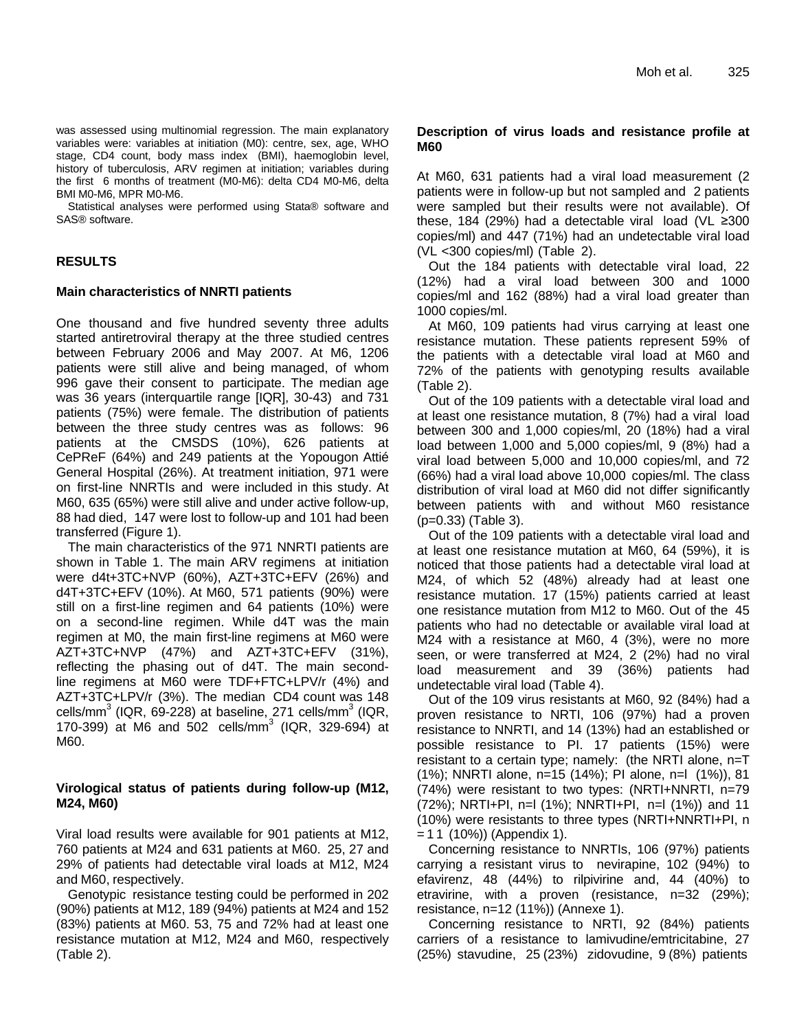was assessed using multinomial regression. The main explanatory variables were: variables at initiation (M0): centre, sex, age, WHO stage, CD4 count, body mass index (BMI), haemoglobin level, history of tuberculosis, ARV regimen at initiation; variables during the first 6 months of treatment (M0-M6): delta CD4 M0-M6, delta BMI M0-M6, MPR M0-M6.

Statistical analyses were performed using Stata® software and SAS® software.

# **RESULTS**

## **Main characteristics of NNRTI patients**

One thousand and five hundred seventy three adults started antiretroviral therapy at the three studied centres between February 2006 and May 2007. At M6, 1206 patients were still alive and being managed, of whom 996 gave their consent to participate. The median age was 36 years (interquartile range [IQR], 30-43) and 731 patients (75%) were female. The distribution of patients between the three study centres was as follows: 96 patients at the CMSDS (10%), 626 patients at CePReF (64%) and 249 patients at the Yopougon Attié General Hospital (26%). At treatment initiation, 971 were on first-line NNRTIs and were included in this study. At M60, 635 (65%) were still alive and under active follow-up, 88 had died, 147 were lost to follow-up and 101 had been transferred (Figure 1).

The main characteristics of the 971 NNRTI patients are shown in Table 1. The main ARV regimens at initiation were d4t+3TC+NVP (60%), AZT+3TC+EFV (26%) and d4T+3TC+EFV (10%). At M60, 571 patients (90%) were still on a first-line regimen and 64 patients (10%) were on a second-line regimen. While d4T was the main regimen at M0, the main first-line regimens at M60 were AZT+3TC+NVP (47%) and AZT+3TC+EFV (31%), reflecting the phasing out of d4T. The main secondline regimens at M60 were TDF+FTC+LPV/r (4%) and AZT+3TC+LPV/r (3%). The median CD4 count was 148 cells/mm $^3$  (IQR, 69-228) at baseline, 271 cells/mm $^3$  (IQR, 170-399) at M6 and 502 cells/mm<sup>3</sup> (IQR, 329-694) at M60.

## **Virological status of patients during follow-up (M12, M24, M60)**

Viral load results were available for 901 patients at M12, 760 patients at M24 and 631 patients at M60. 25, 27 and 29% of patients had detectable viral loads at M12, M24 and M60, respectively.

Genotypic resistance testing could be performed in 202 (90%) patients at M12, 189 (94%) patients at M24 and 152 (83%) patients at M60. 53, 75 and 72% had at least one resistance mutation at M12, M24 and M60, respectively (Table 2).

## **Description of virus loads and resistance profile at M60**

At M60, 631 patients had a viral load measurement (2 patients were in follow-up but not sampled and 2 patients were sampled but their results were not available). Of these, 184 (29%) had a detectable viral load (VL ≥300 copies/ml) and 447 (71%) had an undetectable viral load (VL <300 copies/ml) (Table 2).

Out the 184 patients with detectable viral load, 22 (12%) had a viral load between 300 and 1000 copies/ml and 162 (88%) had a viral load greater than 1000 copies/ml.

At M60, 109 patients had virus carrying at least one resistance mutation. These patients represent 59% of the patients with a detectable viral load at M60 and 72% of the patients with genotyping results available (Table 2).

Out of the 109 patients with a detectable viral load and at least one resistance mutation, 8 (7%) had a viral load between 300 and 1,000 copies/ml, 20 (18%) had a viral load between 1,000 and 5,000 copies/ml, 9 (8%) had a viral load between 5,000 and 10,000 copies/ml, and 72 (66%) had a viral load above 10,000 copies/ml. The class distribution of viral load at M60 did not differ significantly between patients with and without M60 resistance (p=0.33) (Table 3).

Out of the 109 patients with a detectable viral load and at least one resistance mutation at M60, 64 (59%), it is noticed that those patients had a detectable viral load at M24, of which 52 (48%) already had at least one resistance mutation. 17 (15%) patients carried at least one resistance mutation from M12 to M60. Out of the 45 patients who had no detectable or available viral load at M24 with a resistance at M60, 4 (3%), were no more seen, or were transferred at M24, 2 (2%) had no viral load measurement and 39 (36%) patients had undetectable viral load (Table 4).

Out of the 109 virus resistants at M60, 92 (84%) had a proven resistance to NRTI, 106 (97%) had a proven resistance to NNRTI, and 14 (13%) had an established or possible resistance to PI. 17 patients (15%) were resistant to a certain type; namely: (the NRTI alone, n=T (1%); NNRTI alone, n=15 (14%); PI alone, n=l (1%)), 81 (74%) were resistant to two types: (NRTI+NNRTI, n=79 (72%); NRTI+PI, n=l (1%); NNRTI+PI, n=l (1%)) and 11 (10%) were resistants to three types (NRTI+NNRTI+PI, n = 1 1 (10%)) (Appendix 1).

Concerning resistance to NNRTIs, 106 (97%) patients carrying a resistant virus to nevirapine, 102 (94%) to efavirenz, 48 (44%) to rilpivirine and, 44 (40%) to etravirine, with a proven (resistance, n=32 (29%); resistance, n=12 (11%)) (Annexe 1).

Concerning resistance to NRTI, 92 (84%) patients carriers of a resistance to lamivudine/emtricitabine, 27 (25%) stavudine, 25 (23%) zidovudine, 9 (8%) patients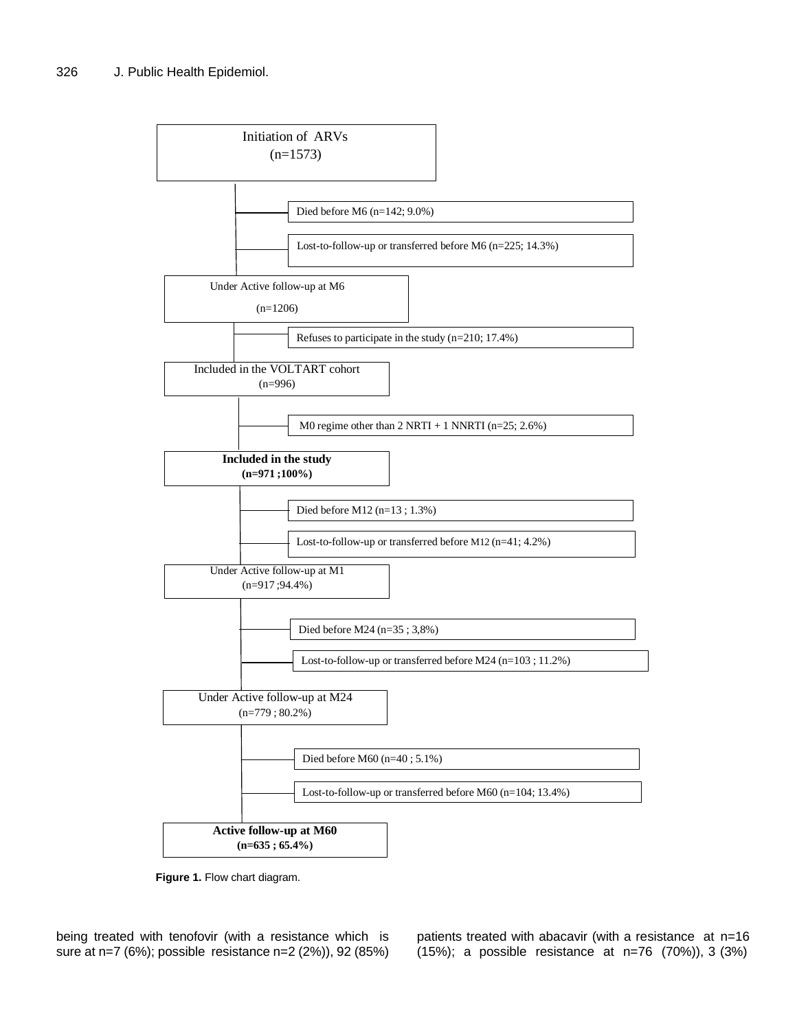

**Figure 1.** Flow chart diagram. **Figure 1.** Flow chart diagram.

being treated with tenofovir (with a resistance which is sure at n=7 (6%); possible resistance n=2 (2%)), 92 (85%)

patients treated with abacavir (with a resistance at n=16 (15%); a possible resistance at n=76 (70%)), 3 (3%)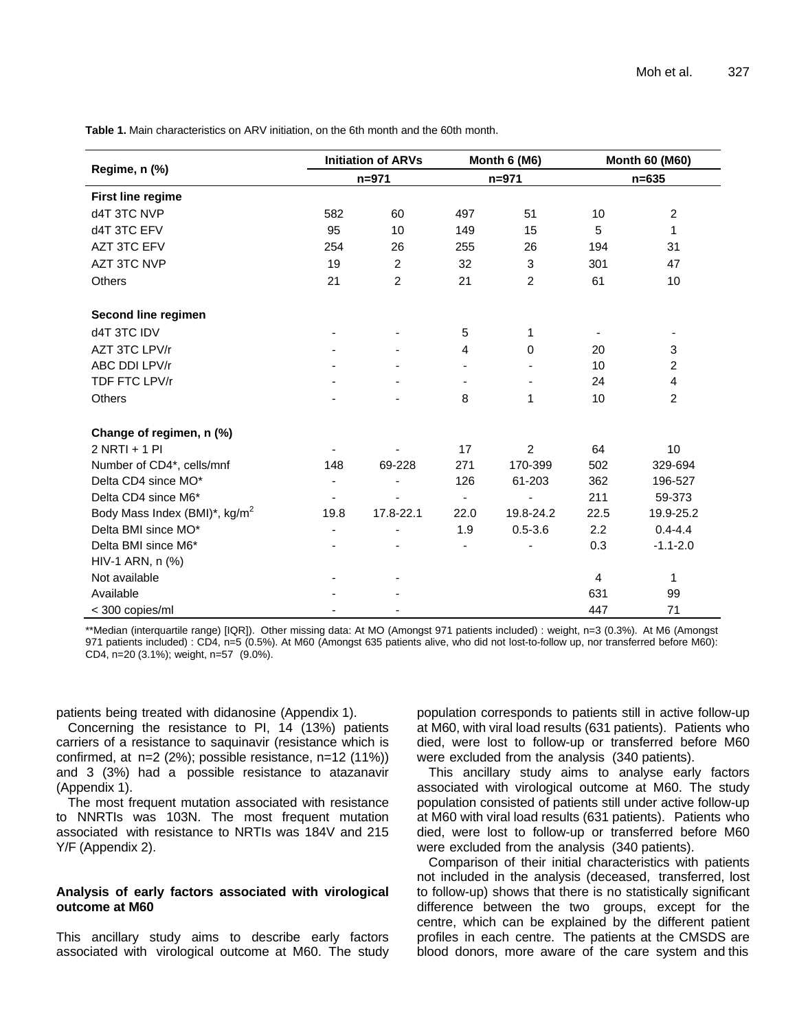|                                           |                          | <b>Initiation of ARVs</b> |                          | Month 6 (M6)   | <b>Month 60 (M60)</b><br>$n = 635$ |                |  |
|-------------------------------------------|--------------------------|---------------------------|--------------------------|----------------|------------------------------------|----------------|--|
| Regime, n (%)                             |                          | $n = 971$                 |                          | $n = 971$      |                                    |                |  |
| <b>First line regime</b>                  |                          |                           |                          |                |                                    |                |  |
| d4T 3TC NVP                               | 582                      | 60                        | 497                      | 51             | 10                                 | $\overline{c}$ |  |
| d4T 3TC EFV                               | 95                       | 10                        | 149                      | 15             | 5                                  | 1              |  |
| AZT 3TC EFV                               | 254                      | 26                        | 255                      | 26             | 194                                | 31             |  |
| AZT 3TC NVP                               | 19                       | $\overline{c}$            | 32                       | $\mathbf{3}$   | 301                                | 47             |  |
| <b>Others</b>                             | 21                       | $\overline{2}$            | 21                       | $\overline{2}$ | 61                                 | 10             |  |
| Second line regimen                       |                          |                           |                          |                |                                    |                |  |
| d4T 3TC IDV                               |                          |                           | 5                        | 1              |                                    |                |  |
| AZT 3TC LPV/r                             |                          |                           | 4                        | 0              | 20                                 | 3              |  |
| ABC DDI LPV/r                             |                          |                           |                          |                | 10                                 | $\overline{2}$ |  |
| TDF FTC LPV/r                             |                          |                           |                          |                | 24                                 | 4              |  |
| Others                                    |                          |                           | 8                        | 1              | 10                                 | $\overline{2}$ |  |
| Change of regimen, n (%)                  |                          |                           |                          |                |                                    |                |  |
| $2$ NRTI + 1 PI                           |                          |                           | 17                       | $\overline{2}$ | 64                                 | 10             |  |
| Number of CD4*, cells/mnf                 | 148                      | 69-228                    | 271                      | 170-399        | 502                                | 329-694        |  |
| Delta CD4 since MO*                       | $\overline{\phantom{a}}$ |                           | 126                      | 61-203         | 362                                | 196-527        |  |
| Delta CD4 since M6*                       |                          |                           | $\overline{\phantom{a}}$ |                | 211                                | 59-373         |  |
| Body Mass Index (BMI)*, kg/m <sup>2</sup> | 19.8                     | 17.8-22.1                 | 22.0                     | 19.8-24.2      | 22.5                               | 19.9-25.2      |  |
| Delta BMI since MO*                       |                          |                           | 1.9                      | $0.5 - 3.6$    | 2.2                                | $0.4 - 4.4$    |  |
| Delta BMI since M6*                       |                          |                           |                          |                | 0.3                                | $-1.1 - 2.0$   |  |
| HIV-1 ARN, n (%)                          |                          |                           |                          |                |                                    |                |  |
| Not available                             |                          |                           |                          |                | $\overline{4}$                     | 1              |  |
| Available                                 |                          |                           |                          |                | 631                                | 99             |  |
| < 300 copies/ml                           |                          |                           |                          |                | 447                                | 71             |  |

**Table 1.** Main characteristics on ARV initiation, on the 6th month and the 60th month.

\*\*Median (interquartile range) [IQR]). Other missing data: At MO (Amongst 971 patients included) : weight, n=3 (0.3%). At M6 (Amongst 971 patients included) : CD4, n=5 (0.5%). At M60 (Amongst 635 patients alive, who did not lost-to-follow up, nor transferred before M60): CD4, n=20 (3.1%); weight, n=57 (9.0%).

patients being treated with didanosine (Appendix 1).

Concerning the resistance to PI, 14 (13%) patients carriers of a resistance to saquinavir (resistance which is confirmed, at n=2 (2%); possible resistance, n=12 (11%)) and 3 (3%) had a possible resistance to atazanavir (Appendix 1).

The most frequent mutation associated with resistance to NNRTIs was 103N. The most frequent mutation associated with resistance to NRTIs was 184V and 215 Y/F (Appendix 2).

# **Analysis of early factors associated with virological outcome at M60**

This ancillary study aims to describe early factors associated with virological outcome at M60. The study population corresponds to patients still in active follow-up at M60, with viral load results (631 patients). Patients who died, were lost to follow-up or transferred before M60 were excluded from the analysis (340 patients).

This ancillary study aims to analyse early factors associated with virological outcome at M60. The study population consisted of patients still under active follow-up at M60 with viral load results (631 patients). Patients who died, were lost to follow-up or transferred before M60 were excluded from the analysis (340 patients).

Comparison of their initial characteristics with patients not included in the analysis (deceased, transferred, lost to follow-up) shows that there is no statistically significant difference between the two groups, except for the centre, which can be explained by the different patient profiles in each centre. The patients at the CMSDS are blood donors, more aware of the care system and this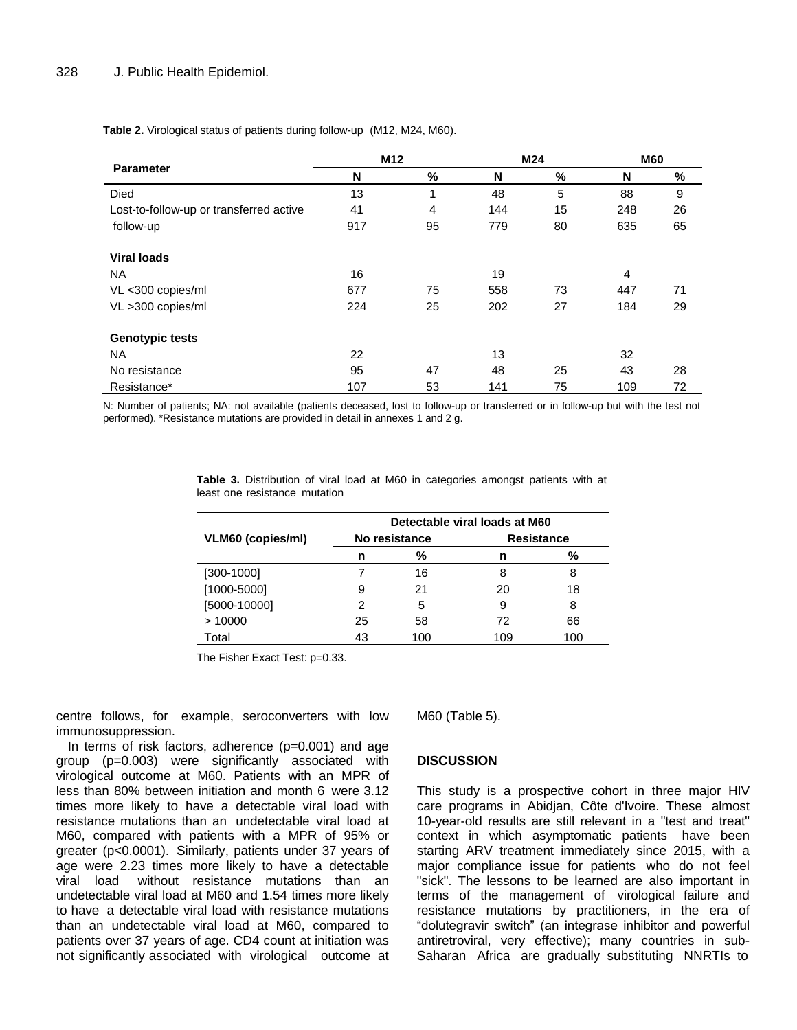|                                         | M <sub>12</sub> |                         |     | M24 | <b>M60</b> |      |
|-----------------------------------------|-----------------|-------------------------|-----|-----|------------|------|
| <b>Parameter</b>                        | N               | %                       | N   | %   | N          | $\%$ |
| <b>Died</b>                             | 13              | $\overline{\mathbf{A}}$ | 48  | 5   | 88         | 9    |
| Lost-to-follow-up or transferred active | 41              | 4                       | 144 | 15  | 248        | 26   |
| follow-up                               | 917             | 95                      | 779 | 80  | 635        | 65   |
| Viral loads                             |                 |                         |     |     |            |      |
| <b>NA</b>                               | 16              |                         | 19  |     | 4          |      |
| VL <300 copies/ml                       | 677             | 75                      | 558 | 73  | 447        | 71   |
| VL >300 copies/ml                       | 224             | 25                      | 202 | 27  | 184        | 29   |
| <b>Genotypic tests</b>                  |                 |                         |     |     |            |      |
| <b>NA</b>                               | 22              |                         | 13  |     | 32         |      |
| No resistance                           | 95              | 47                      | 48  | 25  | 43         | 28   |
| Resistance*                             | 107             | 53                      | 141 | 75  | 109        | 72   |

**Table 2.** Virological status of patients during follow-up (M12, M24, M60).

N: Number of patients; NA: not available (patients deceased, lost to follow-up or transferred or in follow-up but with the test not performed). \*Resistance mutations are provided in detail in annexes 1 and 2 g.

|                          | Detectable viral loads at M60 |               |                   |     |  |  |  |  |
|--------------------------|-------------------------------|---------------|-------------------|-----|--|--|--|--|
| <b>VLM60 (copies/ml)</b> |                               | No resistance | <b>Resistance</b> |     |  |  |  |  |
|                          | n                             | %             | n                 | %   |  |  |  |  |
| $[300-1000]$             |                               | 16            | 8                 | 8   |  |  |  |  |
| $[1000 - 5000]$          | 9                             | 21            | 20                | 18  |  |  |  |  |
| [5000-10000]             | 2                             | 5             | 9                 | 8   |  |  |  |  |
| >10000                   | 25                            | 58            | 72                | 66  |  |  |  |  |
| Total                    | 43                            | 100           | 109               | 100 |  |  |  |  |

**Table 3.** Distribution of viral load at M60 in categories amongst patients with at least one resistance mutation

The Fisher Exact Test: p=0.33.

centre follows, for example, seroconverters with low immunosuppression.

In terms of risk factors, adherence (p=0.001) and age group (p=0.003) were significantly associated with virological outcome at M60. Patients with an MPR of less than 80% between initiation and month 6 were 3.12 times more likely to have a detectable viral load with resistance mutations than an undetectable viral load at M60, compared with patients with a MPR of 95% or greater (p<0.0001). Similarly, patients under 37 years of age were 2.23 times more likely to have a detectable viral load without resistance mutations than an undetectable viral load at M60 and 1.54 times more likely to have a detectable viral load with resistance mutations than an undetectable viral load at M60, compared to patients over 37 years of age. CD4 count at initiation was not significantly associated with virological outcome at M60 (Table 5).

# **DISCUSSION**

This study is a prospective cohort in three major HIV care programs in Abidjan, Côte d'Ivoire. These almost 10-year-old results are still relevant in a "test and treat" context in which asymptomatic patients have been starting ARV treatment immediately since 2015, with a major compliance issue for patients who do not feel "sick". The lessons to be learned are also important in terms of the management of virological failure and resistance mutations by practitioners, in the era of "dolutegravir switch" (an integrase inhibitor and powerful antiretroviral, very effective); many countries in sub-Saharan Africa are gradually substituting NNRTIs to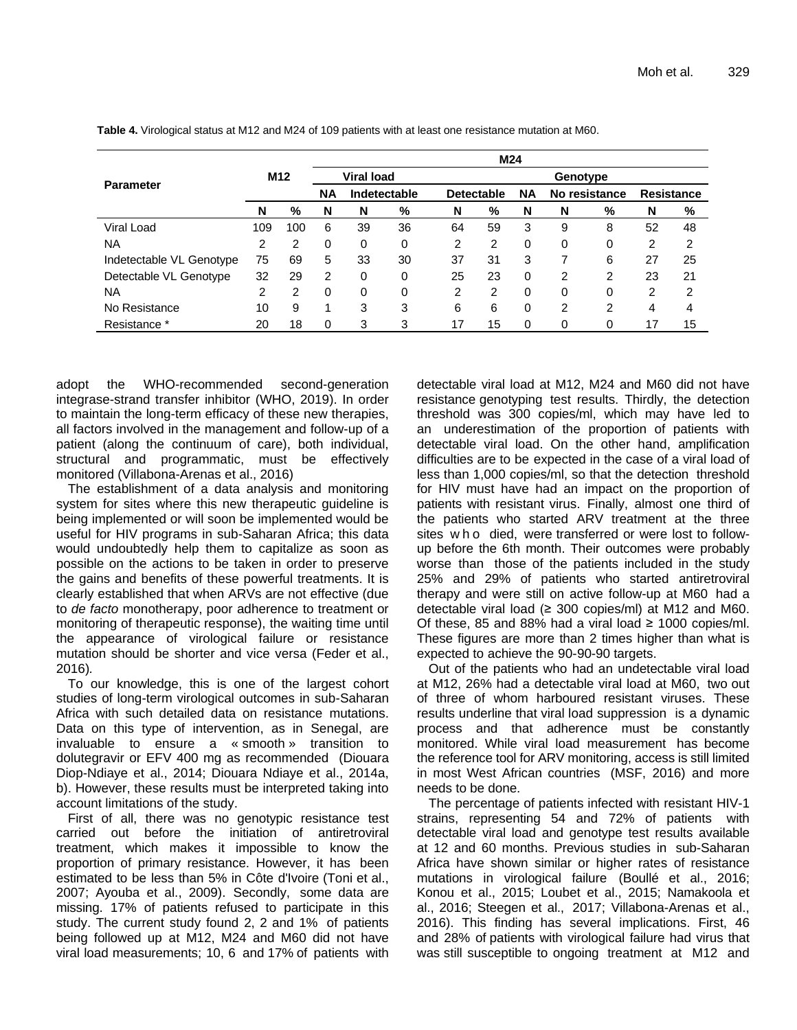|                          |                 |     |           |                   |              |                   | M24 |           |          |               |    |                   |
|--------------------------|-----------------|-----|-----------|-------------------|--------------|-------------------|-----|-----------|----------|---------------|----|-------------------|
|                          | M <sub>12</sub> |     |           | <b>Viral load</b> |              |                   |     |           | Genotype |               |    |                   |
| <b>Parameter</b>         |                 |     | <b>NA</b> |                   | Indetectable | <b>Detectable</b> |     | <b>NA</b> |          | No resistance |    | <b>Resistance</b> |
|                          | N               | %   | N         | N                 | %            | N                 | %   | N         | N        | %             | N  | %                 |
| Viral Load               | 109             | 100 | 6         | 39                | 36           | 64                | 59  | 3         | 9        | 8             | 52 | 48                |
| NA                       | 2               | 2   | 0         | 0                 | 0            | $\overline{2}$    | 2   | 0         | 0        | 0             | 2  | 2                 |
| Indetectable VL Genotype | 75              | 69  | 5         | 33                | 30           | 37                | 31  | 3         | ⇁        | 6             | 27 | 25                |
| Detectable VL Genotype   | 32              | 29  | 2         | 0                 | 0            | 25                | 23  | 0         | 2        | 2             | 23 | 21                |
| <b>NA</b>                | $\overline{c}$  | 2   | 0         | 0                 | 0            | $\overline{2}$    | 2   | 0         | 0        | 0             | 2  | $\overline{2}$    |
| No Resistance            | 10              | 9   | 1         | 3                 | 3            | 6                 | 6   | 0         | 2        | 2             | 4  | 4                 |
| Resistance *             | 20              | 18  | 0         | 3                 | 3            | 17                | 15  | 0         | 0        | 0             | 17 | 15                |

**Table 4.** Virological status at M12 and M24 of 109 patients with at least one resistance mutation at M60.

adopt the WHO-recommended second-generation integrase-strand transfer inhibitor (WHO, 2019). In order to maintain the long-term efficacy of these new therapies, all factors involved in the management and follow-up of a patient (along the continuum of care), both individual, structural and programmatic, must be effectively monitored (Villabona-Arenas et al., 2016)

The establishment of a data analysis and monitoring system for sites where this new therapeutic guideline is being implemented or will soon be implemented would be useful for HIV programs in sub-Saharan Africa; this data would undoubtedly help them to capitalize as soon as possible on the actions to be taken in order to preserve the gains and benefits of these powerful treatments. It is clearly established that when ARVs are not effective (due to *de facto* monotherapy, poor adherence to treatment or monitoring of therapeutic response), the waiting time until the appearance of virological failure or resistance mutation should be shorter and vice versa (Feder et al., 2016)*.*

To our knowledge, this is one of the largest cohort studies of long-term virological outcomes in sub-Saharan Africa with such detailed data on resistance mutations. Data on this type of intervention, as in Senegal, are invaluable to ensure a « smooth » transition to dolutegravir or EFV 400 mg as recommended (Diouara Diop-Ndiaye et al., 2014; Diouara Ndiaye et al., 2014a, b). However, these results must be interpreted taking into account limitations of the study.

First of all, there was no genotypic resistance test carried out before the initiation of antiretroviral treatment, which makes it impossible to know the proportion of primary resistance. However, it has been estimated to be less than 5% in Côte d'Ivoire (Toni et al., 2007; Ayouba et al., 2009). Secondly, some data are missing. 17% of patients refused to participate in this study. The current study found 2, 2 and 1% of patients being followed up at M12, M24 and M60 did not have viral load measurements; 10, 6 and 17% of patients with

detectable viral load at M12, M24 and M60 did not have resistance genotyping test results. Thirdly, the detection threshold was 300 copies/ml, which may have led to an underestimation of the proportion of patients with detectable viral load. On the other hand, amplification difficulties are to be expected in the case of a viral load of less than 1,000 copies/ml, so that the detection threshold for HIV must have had an impact on the proportion of patients with resistant virus. Finally, almost one third of the patients who started ARV treatment at the three sites w h o died, were transferred or were lost to followup before the 6th month. Their outcomes were probably worse than those of the patients included in the study 25% and 29% of patients who started antiretroviral therapy and were still on active follow-up at M60 had a detectable viral load  $(≥ 300$  copies/ml) at M12 and M60. Of these, 85 and 88% had a viral load  $\geq$  1000 copies/ml. These figures are more than 2 times higher than what is expected to achieve the 90-90-90 targets.

Out of the patients who had an undetectable viral load at M12, 26% had a detectable viral load at M60, two out of three of whom harboured resistant viruses. These results underline that viral load suppression is a dynamic process and that adherence must be constantly monitored. While viral load measurement has become the reference tool for ARV monitoring, access is still limited in most West African countries (MSF, 2016) and more needs to be done.

The percentage of patients infected with resistant HIV-1 strains, representing 54 and 72% of patients with detectable viral load and genotype test results available at 12 and 60 months. Previous studies in sub-Saharan Africa have shown similar or higher rates of resistance mutations in virological failure (Boullé et al., 2016; Konou et al., 2015; Loubet et al., 2015; Namakoola et al., 2016; Steegen et al., 2017; Villabona-Arenas et al., 2016). This finding has several implications. First, 46 and 28% of patients with virological failure had virus that was still susceptible to ongoing treatment at M12 and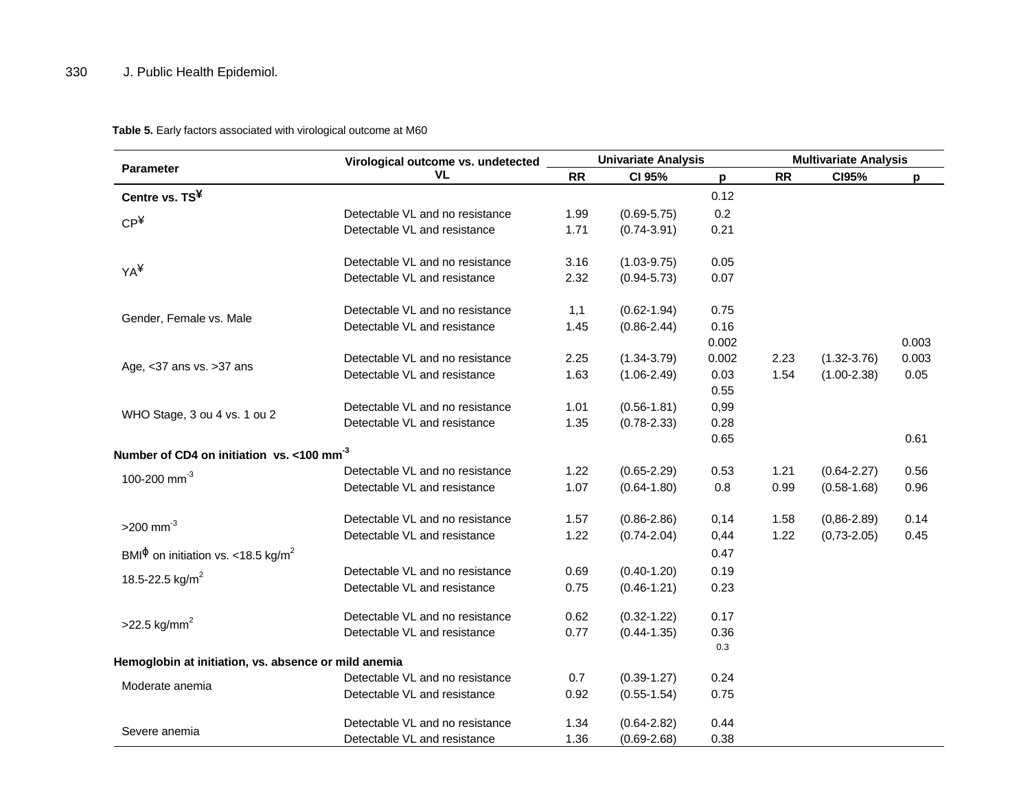**Table 5.** Early factors associated with virological outcome at M60

|                                                                            | Virological outcome vs. undetected |           | <b>Univariate Analysis</b> |       | <b>Multivariate Analysis</b> |                  |       |  |
|----------------------------------------------------------------------------|------------------------------------|-----------|----------------------------|-------|------------------------------|------------------|-------|--|
| <b>Parameter</b>                                                           | VL.                                | <b>RR</b> | CI 95%                     | p     | RR                           | CI95%            | p     |  |
| Centre vs. TS <sup>¥</sup>                                                 |                                    |           |                            | 0.12  |                              |                  |       |  |
|                                                                            | Detectable VL and no resistance    | 1.99      | $(0.69 - 5.75)$            | 0.2   |                              |                  |       |  |
| CP <sup>4</sup>                                                            | Detectable VL and resistance       | 1.71      | $(0.74 - 3.91)$            | 0.21  |                              |                  |       |  |
|                                                                            | Detectable VL and no resistance    | 3.16      | $(1.03 - 9.75)$            | 0.05  |                              |                  |       |  |
| YA¥                                                                        | Detectable VL and resistance       | 2.32      | $(0.94 - 5.73)$            | 0.07  |                              |                  |       |  |
|                                                                            | Detectable VL and no resistance    | 1,1       | $(0.62 - 1.94)$            | 0.75  |                              |                  |       |  |
| Gender, Female vs. Male                                                    | Detectable VL and resistance       | 1.45      | $(0.86 - 2.44)$            | 0.16  |                              |                  |       |  |
|                                                                            |                                    |           |                            | 0.002 |                              |                  | 0.003 |  |
|                                                                            | Detectable VL and no resistance    | 2.25      | $(1.34 - 3.79)$            | 0.002 | 2.23                         | $(1.32 - 3.76)$  | 0.003 |  |
| Age, <37 ans vs. >37 ans                                                   | Detectable VL and resistance       | 1.63      | $(1.06 - 2.49)$            | 0.03  | 1.54                         | $(1.00 - 2.38)$  | 0.05  |  |
|                                                                            |                                    |           |                            | 0.55  |                              |                  |       |  |
|                                                                            | Detectable VL and no resistance    | 1.01      | $(0.56 - 1.81)$            | 0,99  |                              |                  |       |  |
| WHO Stage, 3 ou 4 vs. 1 ou 2                                               | Detectable VL and resistance       | 1.35      | $(0.78 - 2.33)$            | 0.28  |                              |                  |       |  |
|                                                                            |                                    |           |                            | 0.65  |                              |                  | 0.61  |  |
| Number of CD4 on initiation vs. <100 mm <sup>-3</sup>                      |                                    |           |                            |       |                              |                  |       |  |
| 100-200 mm <sup>-3</sup>                                                   | Detectable VL and no resistance    | 1.22      | $(0.65 - 2.29)$            | 0.53  | 1.21                         | $(0.64 - 2.27)$  | 0.56  |  |
|                                                                            | Detectable VL and resistance       | 1.07      | $(0.64 - 1.80)$            | 0.8   | 0.99                         | $(0.58 - 1.68)$  | 0.96  |  |
| $>200$ mm <sup>-3</sup>                                                    | Detectable VL and no resistance    | 1.57      | $(0.86 - 2.86)$            | 0,14  | 1.58                         | $(0, 86 - 2.89)$ | 0.14  |  |
|                                                                            | Detectable VL and resistance       | 1.22      | $(0.74 - 2.04)$            | 0,44  | 1.22                         | $(0,73-2.05)$    | 0.45  |  |
| BMI <sup><math>\Phi</math></sup> on initiation vs. <18.5 kg/m <sup>2</sup> |                                    |           |                            | 0.47  |                              |                  |       |  |
|                                                                            | Detectable VL and no resistance    | 0.69      | $(0.40 - 1.20)$            | 0.19  |                              |                  |       |  |
| 18.5-22.5 kg/m <sup>2</sup>                                                | Detectable VL and resistance       | 0.75      | $(0.46 - 1.21)$            | 0.23  |                              |                  |       |  |
|                                                                            | Detectable VL and no resistance    | 0.62      | $(0.32 - 1.22)$            | 0.17  |                              |                  |       |  |
| $>22.5$ kg/mm <sup>2</sup>                                                 | Detectable VL and resistance       | 0.77      | $(0.44 - 1.35)$            | 0.36  |                              |                  |       |  |
|                                                                            |                                    |           |                            | 0.3   |                              |                  |       |  |
| Hemoglobin at initiation, vs. absence or mild anemia                       |                                    |           |                            |       |                              |                  |       |  |
| Moderate anemia                                                            | Detectable VL and no resistance    | 0.7       | $(0.39 - 1.27)$            | 0.24  |                              |                  |       |  |
|                                                                            | Detectable VL and resistance       | 0.92      | $(0.55 - 1.54)$            | 0.75  |                              |                  |       |  |
| Severe anemia                                                              | Detectable VL and no resistance    | 1.34      | $(0.64 - 2.82)$            | 0.44  |                              |                  |       |  |
|                                                                            | Detectable VL and resistance       | 1.36      | $(0.69 - 2.68)$            | 0.38  |                              |                  |       |  |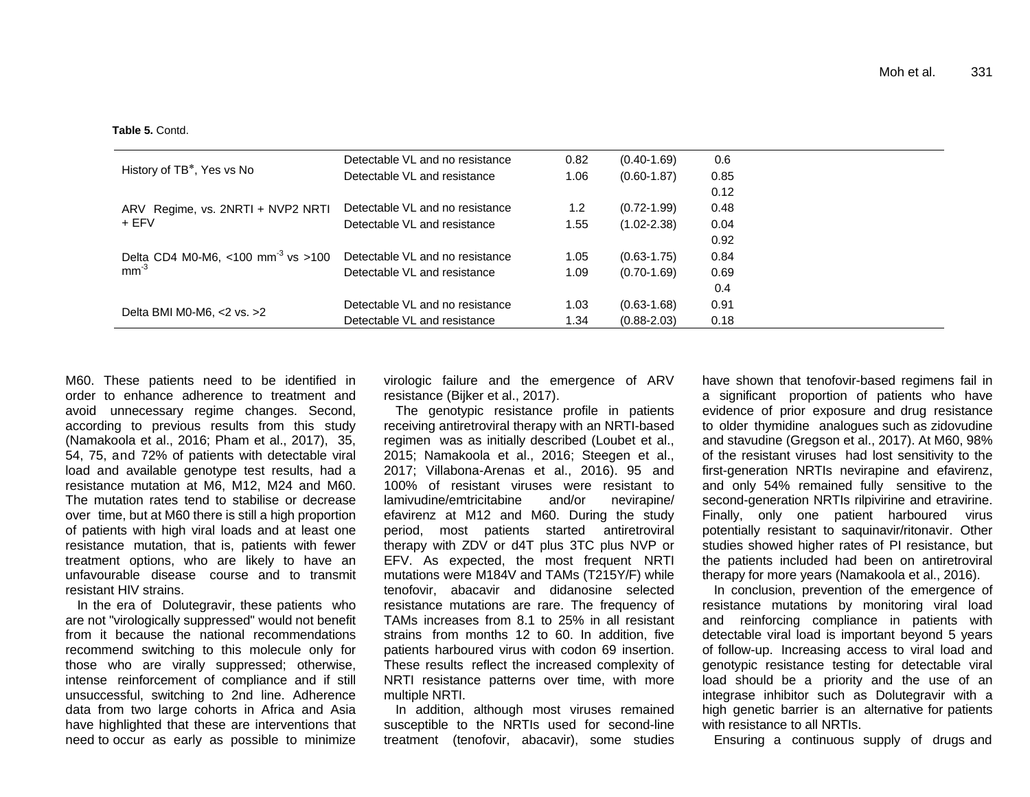**Table 5.** Contd.

|                                                | Detectable VL and no resistance | 0.82 | $(0.40 - 1.69)$ | 0.6  |
|------------------------------------------------|---------------------------------|------|-----------------|------|
| History of TB <sup>*</sup> , Yes vs No         | Detectable VL and resistance    | 1.06 | $(0.60 - 1.87)$ | 0.85 |
|                                                |                                 |      |                 | 0.12 |
| ARV Regime, vs. 2NRTI + NVP2 NRTI              | Detectable VL and no resistance | 1.2  | $(0.72 - 1.99)$ | 0.48 |
| + EFV                                          | Detectable VL and resistance    | 1.55 | $(1.02 - 2.38)$ | 0.04 |
|                                                |                                 |      |                 | 0.92 |
| Delta CD4 M0-M6, <100 mm <sup>-3</sup> vs >100 | Detectable VL and no resistance | 1.05 | $(0.63 - 1.75)$ | 0.84 |
| $mm^{-3}$                                      | Detectable VL and resistance    | 1.09 | $(0.70 - 1.69)$ | 0.69 |
|                                                |                                 |      |                 | 0.4  |
|                                                | Detectable VL and no resistance | 1.03 | $(0.63 - 1.68)$ | 0.91 |
| Delta BMI M0-M6, <2 vs. >2                     | Detectable VL and resistance    | 1.34 | $(0.88 - 2.03)$ | 0.18 |

M60. These patients need to be identified in order to enhance adherence to treatment and avoid unnecessary regime changes. Second, according to previous results from this study (Namakoola et al., 2016; Pham et al., 2017), 35, 54, 75, and 72% of patients with detectable viral load and available genotype test results, had a resistance mutation at M6, M12, M24 and M60. The mutation rates tend to stabilise or decrease over time, but at M60 there is still a high proportion of patients with high viral loads and at least one resistance mutation, that is, patients with fewer treatment options, who are likely to have an unfavourable disease course and to transmit resistant HIV strains.

In the era of Dolutegravir, these patients who are not "virologically suppressed" would not benefit from it because the national recommendations recommend switching to this molecule only for those who are virally suppressed; otherwise, intense reinforcement of compliance and if still unsuccessful, switching to 2nd line. Adherence data from two large cohorts in Africa and Asia have highlighted that these are interventions that need to occur as early as possible to minimize

virologic failure and the emergence of ARV resistance (Bijker et al., 2017).

The genotypic resistance profile in patients receiving antiretroviral therapy with an NRTI-based regimen was as initially described (Loubet et al., 2015; Namakoola et al., 2016; Steegen et al., 2017; Villabona-Arenas et al., 2016). 95 and 100% of resistant viruses were resistant to lamivudine/emtricitabine and/or nevirapine/ efavirenz at M12 and M60. During the study period, most patients started antiretroviral therapy with ZDV or d4T plus 3TC plus NVP or EFV. As expected, the most frequent NRTI mutations were M184V and TAMs (T215Y/F) while tenofovir, abacavir and didanosine selected resistance mutations are rare. The frequency of TAMs increases from 8.1 to 25% in all resistant strains from months 12 to 60. In addition, five patients harboured virus with codon 69 insertion. These results reflect the increased complexity of NRTI resistance patterns over time, with more multiple NRTI.

In addition, although most viruses remained susceptible to the NRTIs used for second-line treatment (tenofovir, abacavir), some studies

have shown that tenofovir-based regimens fail in a significant proportion of patients who have evidence of prior exposure and drug resistance to older thymidine analogues such as zidovudine and stavudine (Gregson et al., 2017). At M60, 98% of the resistant viruses had lost sensitivity to the first-generation NRTIs nevirapine and efavirenz, and only 54% remained fully sensitive to the second-generation NRTIs rilpivirine and etravirine. Finally, only one patient harboured virus potentially resistant to saquinavir/ritonavir. Other studies showed higher rates of PI resistance, but the patients included had been on antiretroviral therapy for more years (Namakoola et al., 2016).

In conclusion, prevention of the emergence of resistance mutations by monitoring viral load and reinforcing compliance in patients with detectable viral load is important beyond 5 years of follow-up. Increasing access to viral load and genotypic resistance testing for detectable viral load should be a priority and the use of an integrase inhibitor such as Dolutegravir with a high genetic barrier is an alternative for patients with resistance to all NRTIs.

Ensuring a continuous supply of drugs and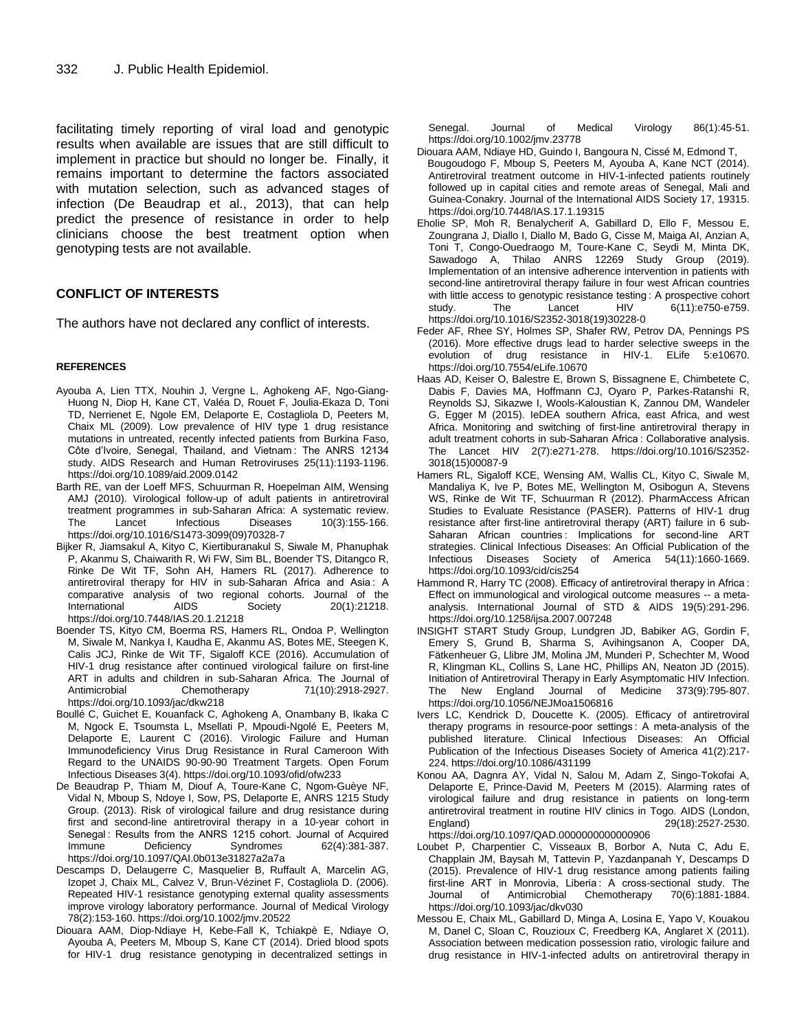facilitating timely reporting of viral load and genotypic results when available are issues that are still difficult to implement in practice but should no longer be. Finally, it remains important to determine the factors associated with mutation selection, such as advanced stages of infection (De Beaudrap et al., 2013), that can help predict the presence of resistance in order to help clinicians choose the best treatment option when genotyping tests are not available.

# **CONFLICT OF INTERESTS**

The authors have not declared any conflict of interests.

#### **REFERENCES**

- Ayouba A, Lien TTX, Nouhin J, Vergne L, Aghokeng AF, Ngo-Giang-Huong N, Diop H, Kane CT, Valéa D, Rouet F, Joulia-Ekaza D, Toni TD, Nerrienet E, Ngole EM, Delaporte E, Costagliola D, Peeters M, Chaix ML (2009). Low prevalence of HIV type 1 drug resistance mutations in untreated, recently infected patients from Burkina Faso, Côte d"Ivoire, Senegal, Thailand, and Vietnam : The ANRS 12134 study. AIDS Research and Human Retroviruses 25(11):1193-1196. https://doi.org/10.1089/aid.2009.0142
- Barth RE, van der Loeff MFS, Schuurman R, Hoepelman AIM, Wensing AMJ (2010). Virological follow-up of adult patients in antiretroviral treatment programmes in sub-Saharan Africa: A systematic review. The Lancet Infectious Diseases 10(3):155-166. https://doi.org/10.1016/S1473-3099(09)70328-7
- Bijker R, Jiamsakul A, Kityo C, Kiertiburanakul S, Siwale M, Phanuphak P, Akanmu S, Chaiwarith R, Wi FW, Sim BL, Boender TS, Ditangco R, Rinke De Wit TF, Sohn AH, Hamers RL (2017). Adherence to antiretroviral therapy for HIV in sub-Saharan Africa and Asia : A comparative analysis of two regional cohorts. Journal of the International AIDS Society 20(1):21218. https://doi.org/10.7448/IAS.20.1.21218
- Boender TS, Kityo CM, Boerma RS, Hamers RL, Ondoa P, Wellington M, Siwale M, Nankya I, Kaudha E, Akanmu AS, Botes ME, Steegen K, Calis JCJ, Rinke de Wit TF, Sigaloff KCE (2016). Accumulation of HIV-1 drug resistance after continued virological failure on first-line ART in adults and children in sub-Saharan Africa. The Journal of Antimicrobial Chemotherapy 71(10):2918-2927. Antimicrobial Chemotherapy 71(10):2918-2927. https://doi.org/10.1093/jac/dkw218
- Boullé C, Guichet E, Kouanfack C, Aghokeng A, Onambany B, Ikaka C M, Ngock E, Tsoumsta L, Msellati P, Mpoudi-Ngolé E, Peeters M, Delaporte E, Laurent C (2016). Virologic Failure and Human Immunodeficiency Virus Drug Resistance in Rural Cameroon With Regard to the UNAIDS 90-90-90 Treatment Targets. Open Forum Infectious Diseases 3(4). https://doi.org/10.1093/ofid/ofw233
- De Beaudrap P, Thiam M, Diouf A, Toure-Kane C, Ngom-Guèye NF, Vidal N, Mboup S, Ndoye I, Sow, PS, Delaporte E, ANRS 1215 Study Group. (2013). Risk of virological failure and drug resistance during first and second-line antiretroviral therapy in a 10-year cohort in Senegal : Results from the ANRS 1215 cohort. Journal of Acquired Immune Deficiency Syndromes 62(4):381-387. https://doi.org/10.1097/QAI.0b013e31827a2a7a
- Descamps D, Delaugerre C, Masquelier B, Ruffault A, Marcelin AG, Izopet J, Chaix ML, Calvez V, Brun-Vézinet F, Costagliola D. (2006). Repeated HIV-1 resistance genotyping external quality assessments improve virology laboratory performance. Journal of Medical Virology 78(2):153-160. https://doi.org/10.1002/jmv.20522
- Diouara AAM, Diop-Ndiaye H, Kebe-Fall K, Tchiakpè E, Ndiaye O, Ayouba A, Peeters M, Mboup S, Kane CT (2014). Dried blood spots for HIV-1 drug resistance genotyping in decentralized settings in

Senegal. Journal of Medical Virology 86(1):45-51. https://doi.org/10.1002/jmv.23778

- Diouara AAM, Ndiaye HD, Guindo I, Bangoura N, Cissé M, Edmond T, Bougoudogo F, Mboup S, Peeters M, Ayouba A, Kane NCT (2014). Antiretroviral treatment outcome in HIV-1-infected patients routinely followed up in capital cities and remote areas of Senegal, Mali and Guinea-Conakry. Journal of the International AIDS Society 17, 19315. https://doi.org/10.7448/IAS.17.1.19315
- Eholie SP, Moh R, Benalycherif A, Gabillard D, Ello F, Messou E, Zoungrana J, Diallo I, Diallo M, Bado G, Cisse M, Maiga AI, Anzian A, Toni T, Congo-Ouedraogo M, Toure-Kane C, Seydi M, Minta DK, Sawadogo A, Thilao ANRS 12269 Study Group (2019). Implementation of an intensive adherence intervention in patients with second-line antiretroviral therapy failure in four west African countries with little access to genotypic resistance testing : A prospective cohort study. The Lancet HIV 6(11):e750-e759. https://doi.org/10.1016/S2352-3018(19)30228-0
- Feder AF, Rhee SY, Holmes SP, Shafer RW, Petrov DA, Pennings PS (2016). More effective drugs lead to harder selective sweeps in the evolution of drug resistance in HIV-1. ELife 5:e10670. https://doi.org/10.7554/eLife.10670
- Haas AD, Keiser O, Balestre E, Brown S, Bissagnene E, Chimbetete C, Dabis F, Davies MA, Hoffmann CJ, Oyaro P, Parkes-Ratanshi R, Reynolds SJ, Sikazwe I, Wools-Kaloustian K, Zannou DM, Wandeler G, Egger M (2015). IeDEA southern Africa, east Africa, and west Africa. Monitoring and switching of first-line antiretroviral therapy in adult treatment cohorts in sub-Saharan Africa : Collaborative analysis. The Lancet HIV 2(7):e271-278. https://doi.org/10.1016/S2352- 3018(15)00087-9
- Hamers RL, Sigaloff KCE, Wensing AM, Wallis CL, Kityo C, Siwale M, Mandaliya K, Ive P, Botes ME, Wellington M, Osibogun A, Stevens WS, Rinke de Wit TF, Schuurman R (2012). PharmAccess African Studies to Evaluate Resistance (PASER). Patterns of HIV-1 drug resistance after first-line antiretroviral therapy (ART) failure in 6 sub-Saharan African countries : Implications for second-line ART strategies. Clinical Infectious Diseases: An Official Publication of the Infectious Diseases Society of America 54(11):1660-1669. https://doi.org/10.1093/cid/cis254
- Hammond R, Harry TC (2008). Efficacy of antiretroviral therapy in Africa : Effect on immunological and virological outcome measures -- a metaanalysis. International Journal of STD & AIDS 19(5):291-296. https://doi.org/10.1258/ijsa.2007.007248
- INSIGHT START Study Group, Lundgren JD, Babiker AG, Gordin F, Emery S, Grund B, Sharma S, Avihingsanon A, Cooper DA, Fätkenheuer G, Llibre JM, Molina JM, Munderi P, Schechter M, Wood R, Klingman KL, Collins S, Lane HC, Phillips AN, Neaton JD (2015). Initiation of Antiretroviral Therapy in Early Asymptomatic HIV Infection. The New England Journal of Medicine 373(9):795-807. https://doi.org/10.1056/NEJMoa1506816
- Ivers LC, Kendrick D, Doucette K. (2005). Efficacy of antiretroviral therapy programs in resource-poor settings : A meta-analysis of the published literature. Clinical Infectious Diseases: An Official Publication of the Infectious Diseases Society of America 41(2):217- 224. https://doi.org/10.1086/431199
- Konou AA, Dagnra AY, Vidal N, Salou M, Adam Z, Singo-Tokofai A, Delaporte E, Prince-David M, Peeters M (2015). Alarming rates of virological failure and drug resistance in patients on long-term antiretroviral treatment in routine HIV clinics in Togo. AIDS (London, England) 29(18):2527-2530. https://doi.org/10.1097/QAD.0000000000000906
- Loubet P, Charpentier C, Visseaux B, Borbor A, Nuta C, Adu E, Chapplain JM, Baysah M, Tattevin P, Yazdanpanah Y, Descamps D (2015). Prevalence of HIV-1 drug resistance among patients failing first-line ART in Monrovia, Liberia : A cross-sectional study. The Journal of Antimicrobial Chemotherapy 70(6):1881-1884. https://doi.org/10.1093/jac/dkv030
- Messou E, Chaix ML, Gabillard D, Minga A, Losina E, Yapo V, Kouakou M, Danel C, Sloan C, Rouzioux C, Freedberg KA, Anglaret X (2011). Association between medication possession ratio, virologic failure and drug resistance in HIV-1-infected adults on antiretroviral therapy in